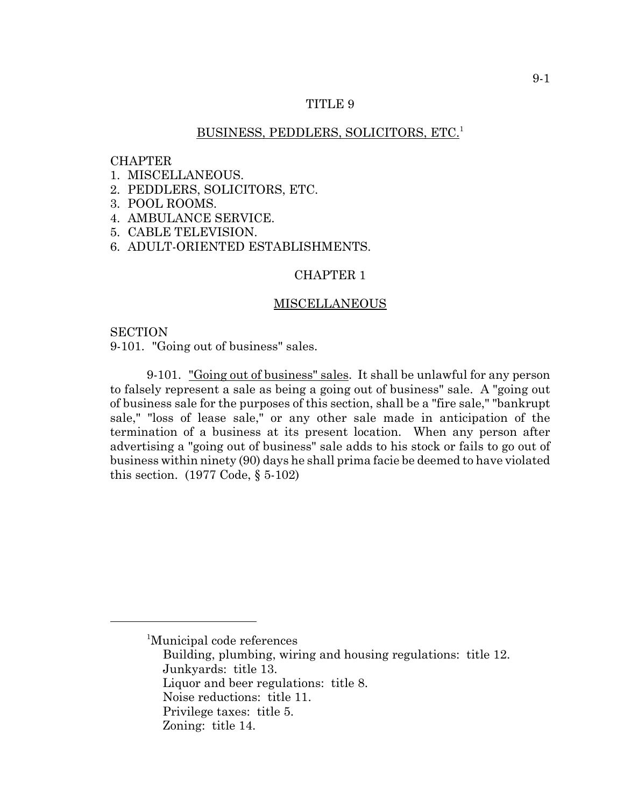### TITLE 9

## BUSINESS, PEDDLERS, SOLICITORS, ETC.1

### **CHAPTER**

- 1. MISCELLANEOUS.
- 2. PEDDLERS, SOLICITORS, ETC.
- 3. POOL ROOMS.
- 4. AMBULANCE SERVICE.
- 5. CABLE TELEVISION.
- 6. ADULT-ORIENTED ESTABLISHMENTS.

# CHAPTER 1

#### MISCELLANEOUS

# **SECTION**

9-101. "Going out of business" sales.

9-101. "Going out of business" sales. It shall be unlawful for any person to falsely represent a sale as being a going out of business" sale. A "going out of business sale for the purposes of this section, shall be a "fire sale," "bankrupt sale," "loss of lease sale," or any other sale made in anticipation of the termination of a business at its present location. When any person after advertising a "going out of business" sale adds to his stock or fails to go out of business within ninety (90) days he shall prima facie be deemed to have violated this section. (1977 Code, § 5-102)

Building, plumbing, wiring and housing regulations: title 12. Junkyards: title 13.

Liquor and beer regulations: title 8.

Noise reductions: title 11.

<sup>&</sup>lt;sup>1</sup>Municipal code references

Privilege taxes: title 5.

Zoning: title 14.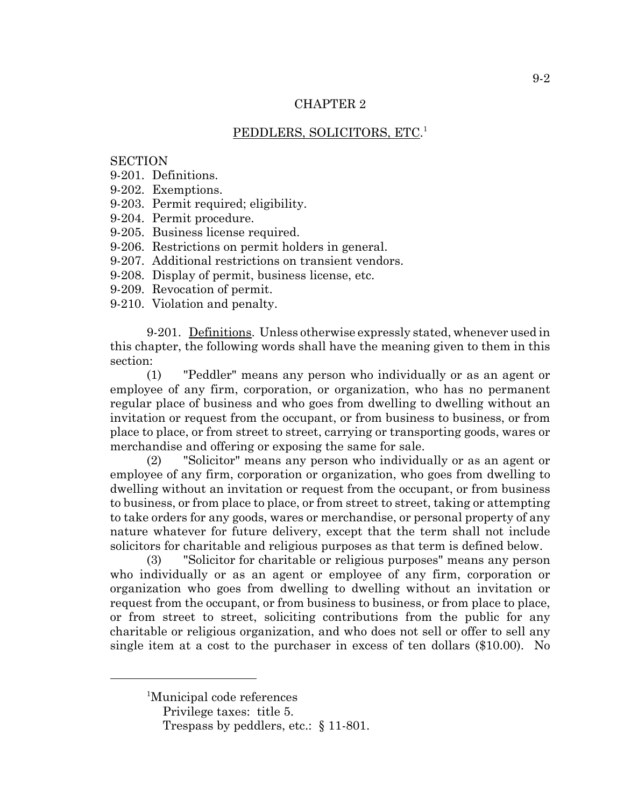# PEDDLERS, SOLICITORS, ETC. 1

## **SECTION**

- 9-201. Definitions.
- 9-202. Exemptions.
- 9-203. Permit required; eligibility.
- 9-204. Permit procedure.
- 9-205. Business license required.
- 9-206. Restrictions on permit holders in general.
- 9-207. Additional restrictions on transient vendors.
- 9-208. Display of permit, business license, etc.
- 9-209. Revocation of permit.
- 9-210. Violation and penalty.

9-201. Definitions. Unless otherwise expressly stated, whenever used in this chapter, the following words shall have the meaning given to them in this section:

(1) "Peddler" means any person who individually or as an agent or employee of any firm, corporation, or organization, who has no permanent regular place of business and who goes from dwelling to dwelling without an invitation or request from the occupant, or from business to business, or from place to place, or from street to street, carrying or transporting goods, wares or merchandise and offering or exposing the same for sale.

(2) "Solicitor" means any person who individually or as an agent or employee of any firm, corporation or organization, who goes from dwelling to dwelling without an invitation or request from the occupant, or from business to business, or from place to place, or from street to street, taking or attempting to take orders for any goods, wares or merchandise, or personal property of any nature whatever for future delivery, except that the term shall not include solicitors for charitable and religious purposes as that term is defined below.

(3) "Solicitor for charitable or religious purposes" means any person who individually or as an agent or employee of any firm, corporation or organization who goes from dwelling to dwelling without an invitation or request from the occupant, or from business to business, or from place to place, or from street to street, soliciting contributions from the public for any charitable or religious organization, and who does not sell or offer to sell any single item at a cost to the purchaser in excess of ten dollars (\$10.00). No

<sup>&</sup>lt;sup>1</sup>Municipal code references

Privilege taxes: title 5.

Trespass by peddlers, etc.: § 11-801.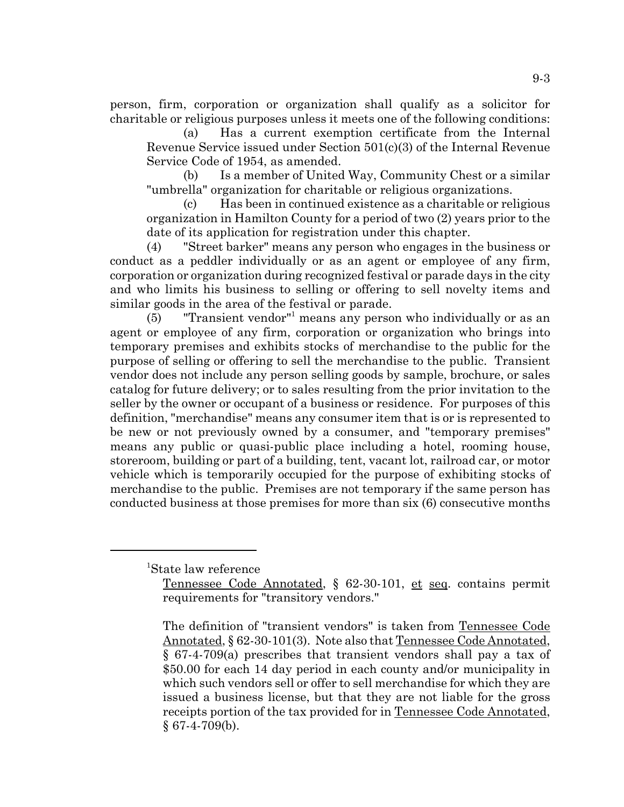person, firm, corporation or organization shall qualify as a solicitor for charitable or religious purposes unless it meets one of the following conditions:

(a) Has a current exemption certificate from the Internal Revenue Service issued under Section 501(c)(3) of the Internal Revenue Service Code of 1954, as amended.

(b) Is a member of United Way, Community Chest or a similar "umbrella" organization for charitable or religious organizations.

(c) Has been in continued existence as a charitable or religious organization in Hamilton County for a period of two (2) years prior to the date of its application for registration under this chapter.

(4) "Street barker" means any person who engages in the business or conduct as a peddler individually or as an agent or employee of any firm, corporation or organization during recognized festival or parade days in the city and who limits his business to selling or offering to sell novelty items and similar goods in the area of the festival or parade.

 $(5)$  "Transient vendor" means any person who individually or as an agent or employee of any firm, corporation or organization who brings into temporary premises and exhibits stocks of merchandise to the public for the purpose of selling or offering to sell the merchandise to the public. Transient vendor does not include any person selling goods by sample, brochure, or sales catalog for future delivery; or to sales resulting from the prior invitation to the seller by the owner or occupant of a business or residence. For purposes of this definition, "merchandise" means any consumer item that is or is represented to be new or not previously owned by a consumer, and "temporary premises" means any public or quasi-public place including a hotel, rooming house, storeroom, building or part of a building, tent, vacant lot, railroad car, or motor vehicle which is temporarily occupied for the purpose of exhibiting stocks of merchandise to the public. Premises are not temporary if the same person has conducted business at those premises for more than six (6) consecutive months

1 State law reference

Tennessee Code Annotated, § 62-30-101, et seq. contains permit requirements for "transitory vendors."

The definition of "transient vendors" is taken from Tennessee Code Annotated, § 62-30-101(3). Note also that Tennessee Code Annotated, § 67-4-709(a) prescribes that transient vendors shall pay a tax of \$50.00 for each 14 day period in each county and/or municipality in which such vendors sell or offer to sell merchandise for which they are issued a business license, but that they are not liable for the gross receipts portion of the tax provided for in Tennessee Code Annotated, § 67-4-709(b).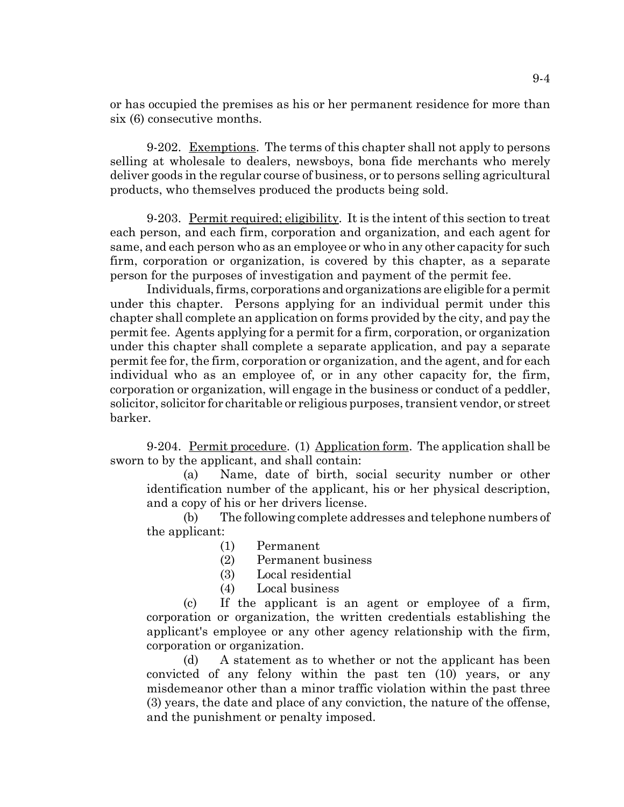or has occupied the premises as his or her permanent residence for more than six (6) consecutive months.

9-202. Exemptions. The terms of this chapter shall not apply to persons selling at wholesale to dealers, newsboys, bona fide merchants who merely deliver goods in the regular course of business, or to persons selling agricultural products, who themselves produced the products being sold.

9-203. Permit required; eligibility. It is the intent of this section to treat each person, and each firm, corporation and organization, and each agent for same, and each person who as an employee or who in any other capacity for such firm, corporation or organization, is covered by this chapter, as a separate person for the purposes of investigation and payment of the permit fee.

Individuals, firms, corporations and organizations are eligible for a permit under this chapter. Persons applying for an individual permit under this chapter shall complete an application on forms provided by the city, and pay the permit fee. Agents applying for a permit for a firm, corporation, or organization under this chapter shall complete a separate application, and pay a separate permit fee for, the firm, corporation or organization, and the agent, and for each individual who as an employee of, or in any other capacity for, the firm, corporation or organization, will engage in the business or conduct of a peddler, solicitor, solicitor for charitable or religious purposes, transient vendor, or street barker.

9-204. Permit procedure. (1) Application form. The application shall be sworn to by the applicant, and shall contain:

(a) Name, date of birth, social security number or other identification number of the applicant, his or her physical description, and a copy of his or her drivers license.

(b) The following complete addresses and telephone numbers of the applicant:

- (1) Permanent
- (2) Permanent business
- (3) Local residential
- (4) Local business

(c) If the applicant is an agent or employee of a firm, corporation or organization, the written credentials establishing the applicant's employee or any other agency relationship with the firm, corporation or organization.

(d) A statement as to whether or not the applicant has been convicted of any felony within the past ten (10) years, or any misdemeanor other than a minor traffic violation within the past three (3) years, the date and place of any conviction, the nature of the offense, and the punishment or penalty imposed.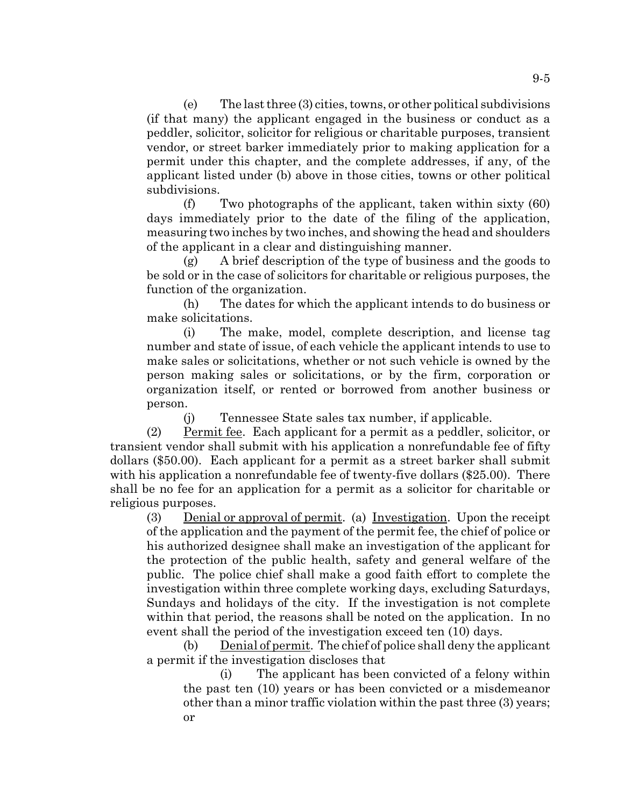(e) The last three (3) cities, towns, or other political subdivisions (if that many) the applicant engaged in the business or conduct as a peddler, solicitor, solicitor for religious or charitable purposes, transient vendor, or street barker immediately prior to making application for a permit under this chapter, and the complete addresses, if any, of the applicant listed under (b) above in those cities, towns or other political subdivisions.

(f) Two photographs of the applicant, taken within sixty (60) days immediately prior to the date of the filing of the application, measuring two inches by two inches, and showing the head and shoulders of the applicant in a clear and distinguishing manner.

(g) A brief description of the type of business and the goods to be sold or in the case of solicitors for charitable or religious purposes, the function of the organization.

(h) The dates for which the applicant intends to do business or make solicitations.

(i) The make, model, complete description, and license tag number and state of issue, of each vehicle the applicant intends to use to make sales or solicitations, whether or not such vehicle is owned by the person making sales or solicitations, or by the firm, corporation or organization itself, or rented or borrowed from another business or person.

(j) Tennessee State sales tax number, if applicable.

(2) Permit fee. Each applicant for a permit as a peddler, solicitor, or transient vendor shall submit with his application a nonrefundable fee of fifty dollars (\$50.00). Each applicant for a permit as a street barker shall submit with his application a nonrefundable fee of twenty-five dollars (\$25.00). There shall be no fee for an application for a permit as a solicitor for charitable or religious purposes.

(3) Denial or approval of permit. (a) Investigation. Upon the receipt of the application and the payment of the permit fee, the chief of police or his authorized designee shall make an investigation of the applicant for the protection of the public health, safety and general welfare of the public. The police chief shall make a good faith effort to complete the investigation within three complete working days, excluding Saturdays, Sundays and holidays of the city. If the investigation is not complete within that period, the reasons shall be noted on the application. In no event shall the period of the investigation exceed ten (10) days.

(b) Denial of permit. The chief of police shall deny the applicant a permit if the investigation discloses that

(i) The applicant has been convicted of a felony within the past ten (10) years or has been convicted or a misdemeanor other than a minor traffic violation within the past three (3) years; or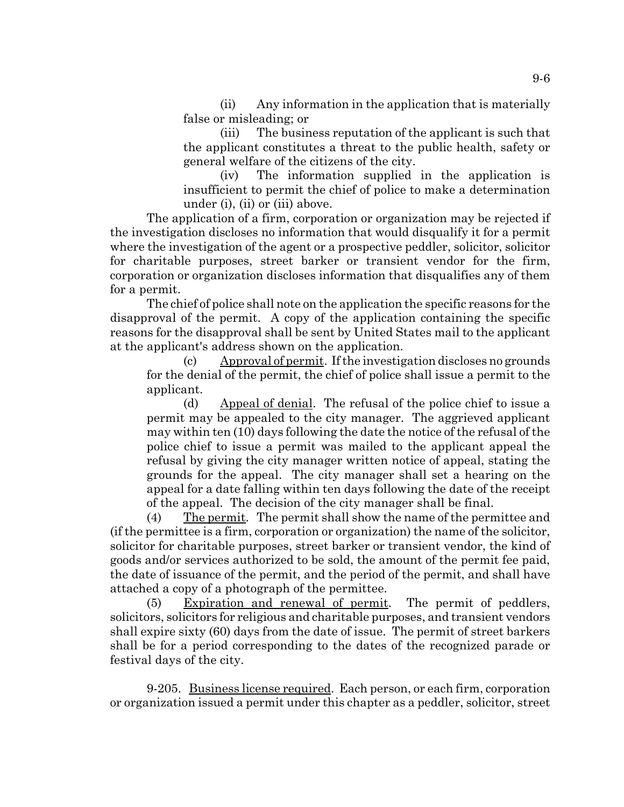(ii) Any information in the application that is materially false or misleading; or

(iii) The business reputation of the applicant is such that the applicant constitutes a threat to the public health, safety or general welfare of the citizens of the city.

(iv) The information supplied in the application is insufficient to permit the chief of police to make a determination under (i), (ii) or (iii) above.

The application of a firm, corporation or organization may be rejected if the investigation discloses no information that would disqualify it for a permit where the investigation of the agent or a prospective peddler, solicitor, solicitor for charitable purposes, street barker or transient vendor for the firm, corporation or organization discloses information that disqualifies any of them for a permit.

The chief of police shall note on the application the specific reasons for the disapproval of the permit. A copy of the application containing the specific reasons for the disapproval shall be sent by United States mail to the applicant at the applicant's address shown on the application.

(c) Approval of permit. If the investigation discloses no grounds for the denial of the permit, the chief of police shall issue a permit to the applicant.

(d) Appeal of denial. The refusal of the police chief to issue a permit may be appealed to the city manager. The aggrieved applicant may within ten (10) days following the date the notice of the refusal of the police chief to issue a permit was mailed to the applicant appeal the refusal by giving the city manager written notice of appeal, stating the grounds for the appeal. The city manager shall set a hearing on the appeal for a date falling within ten days following the date of the receipt of the appeal. The decision of the city manager shall be final.

(4) The permit. The permit shall show the name of the permittee and (if the permittee is a firm, corporation or organization) the name of the solicitor, solicitor for charitable purposes, street barker or transient vendor, the kind of goods and/or services authorized to be sold, the amount of the permit fee paid, the date of issuance of the permit, and the period of the permit, and shall have attached a copy of a photograph of the permittee.

(5) Expiration and renewal of permit. The permit of peddlers, solicitors, solicitors for religious and charitable purposes, and transient vendors shall expire sixty (60) days from the date of issue. The permit of street barkers shall be for a period corresponding to the dates of the recognized parade or festival days of the city.

9-205. Business license required. Each person, or each firm, corporation or organization issued a permit under this chapter as a peddler, solicitor, street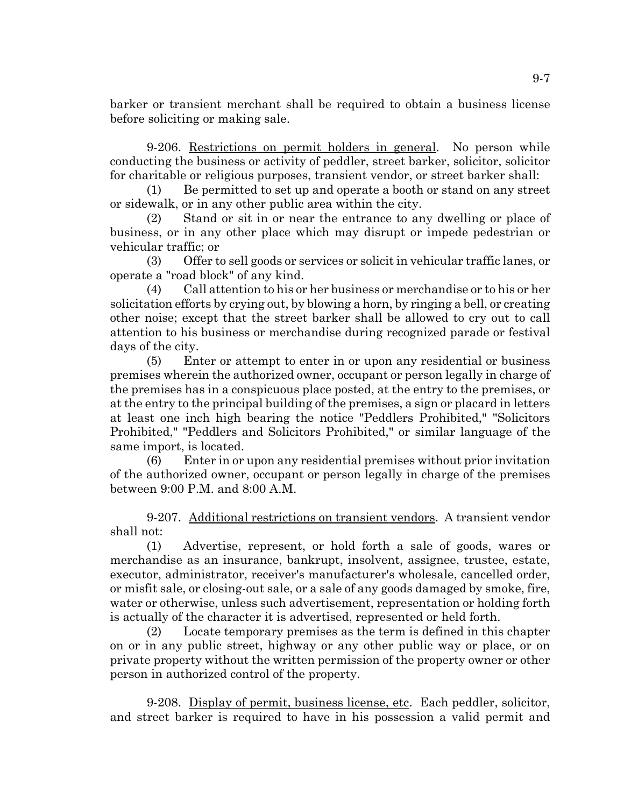barker or transient merchant shall be required to obtain a business license before soliciting or making sale.

9-206. Restrictions on permit holders in general. No person while conducting the business or activity of peddler, street barker, solicitor, solicitor for charitable or religious purposes, transient vendor, or street barker shall:

Be permitted to set up and operate a booth or stand on any street or sidewalk, or in any other public area within the city.

(2) Stand or sit in or near the entrance to any dwelling or place of business, or in any other place which may disrupt or impede pedestrian or vehicular traffic; or

(3) Offer to sell goods or services or solicit in vehicular traffic lanes, or operate a "road block" of any kind.

(4) Call attention to his or her business or merchandise or to his or her solicitation efforts by crying out, by blowing a horn, by ringing a bell, or creating other noise; except that the street barker shall be allowed to cry out to call attention to his business or merchandise during recognized parade or festival days of the city.

(5) Enter or attempt to enter in or upon any residential or business premises wherein the authorized owner, occupant or person legally in charge of the premises has in a conspicuous place posted, at the entry to the premises, or at the entry to the principal building of the premises, a sign or placard in letters at least one inch high bearing the notice "Peddlers Prohibited," "Solicitors Prohibited," "Peddlers and Solicitors Prohibited," or similar language of the same import, is located.

(6) Enter in or upon any residential premises without prior invitation of the authorized owner, occupant or person legally in charge of the premises between 9:00 P.M. and 8:00 A.M.

9-207. Additional restrictions on transient vendors. A transient vendor shall not:

(1) Advertise, represent, or hold forth a sale of goods, wares or merchandise as an insurance, bankrupt, insolvent, assignee, trustee, estate, executor, administrator, receiver's manufacturer's wholesale, cancelled order, or misfit sale, or closing-out sale, or a sale of any goods damaged by smoke, fire, water or otherwise, unless such advertisement, representation or holding forth is actually of the character it is advertised, represented or held forth.

(2) Locate temporary premises as the term is defined in this chapter on or in any public street, highway or any other public way or place, or on private property without the written permission of the property owner or other person in authorized control of the property.

9-208. Display of permit, business license, etc. Each peddler, solicitor, and street barker is required to have in his possession a valid permit and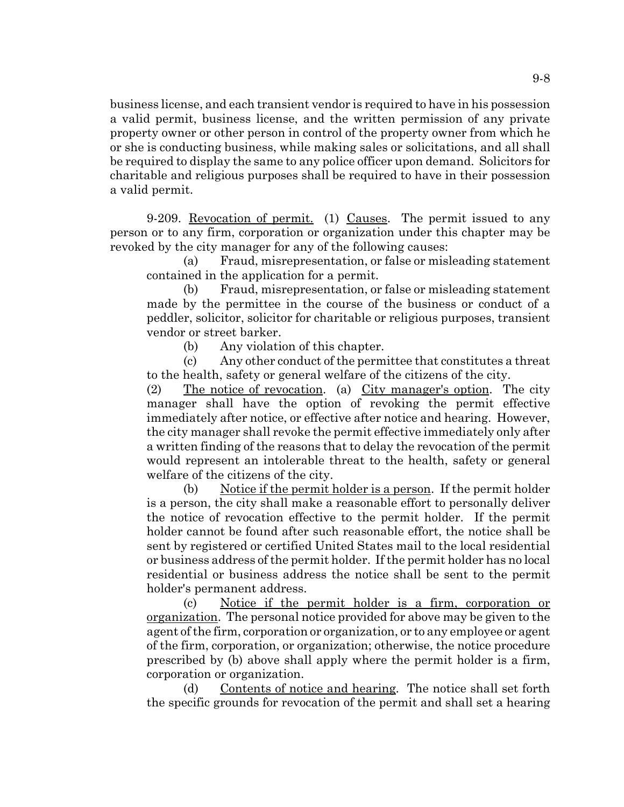business license, and each transient vendor is required to have in his possession a valid permit, business license, and the written permission of any private property owner or other person in control of the property owner from which he or she is conducting business, while making sales or solicitations, and all shall be required to display the same to any police officer upon demand. Solicitors for charitable and religious purposes shall be required to have in their possession a valid permit.

9-209. Revocation of permit. (1) Causes. The permit issued to any person or to any firm, corporation or organization under this chapter may be revoked by the city manager for any of the following causes:

(a) Fraud, misrepresentation, or false or misleading statement contained in the application for a permit.

(b) Fraud, misrepresentation, or false or misleading statement made by the permittee in the course of the business or conduct of a peddler, solicitor, solicitor for charitable or religious purposes, transient vendor or street barker.

(b) Any violation of this chapter.

(c) Any other conduct of the permittee that constitutes a threat to the health, safety or general welfare of the citizens of the city.

(2) The notice of revocation. (a) City manager's option. The city manager shall have the option of revoking the permit effective immediately after notice, or effective after notice and hearing. However, the city manager shall revoke the permit effective immediately only after a written finding of the reasons that to delay the revocation of the permit would represent an intolerable threat to the health, safety or general welfare of the citizens of the city.

(b) Notice if the permit holder is a person. If the permit holder is a person, the city shall make a reasonable effort to personally deliver the notice of revocation effective to the permit holder. If the permit holder cannot be found after such reasonable effort, the notice shall be sent by registered or certified United States mail to the local residential or business address of the permit holder. If the permit holder has no local residential or business address the notice shall be sent to the permit holder's permanent address.

(c) Notice if the permit holder is a firm, corporation or organization. The personal notice provided for above may be given to the agent of the firm, corporation or organization, or to any employee or agent of the firm, corporation, or organization; otherwise, the notice procedure prescribed by (b) above shall apply where the permit holder is a firm, corporation or organization.

(d) Contents of notice and hearing. The notice shall set forth the specific grounds for revocation of the permit and shall set a hearing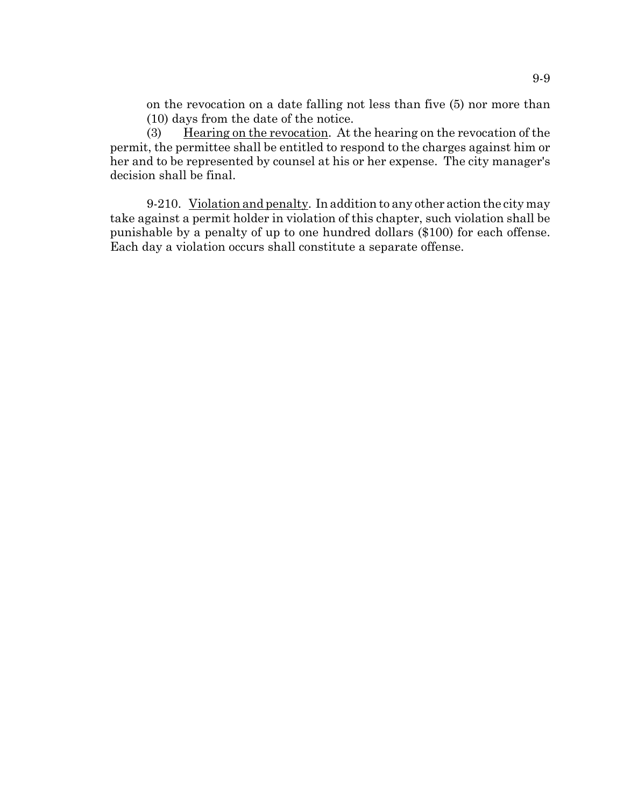on the revocation on a date falling not less than five (5) nor more than (10) days from the date of the notice.

(3) Hearing on the revocation. At the hearing on the revocation of the permit, the permittee shall be entitled to respond to the charges against him or her and to be represented by counsel at his or her expense. The city manager's decision shall be final.

9-210. Violation and penalty. In addition to any other action the city may take against a permit holder in violation of this chapter, such violation shall be punishable by a penalty of up to one hundred dollars (\$100) for each offense. Each day a violation occurs shall constitute a separate offense.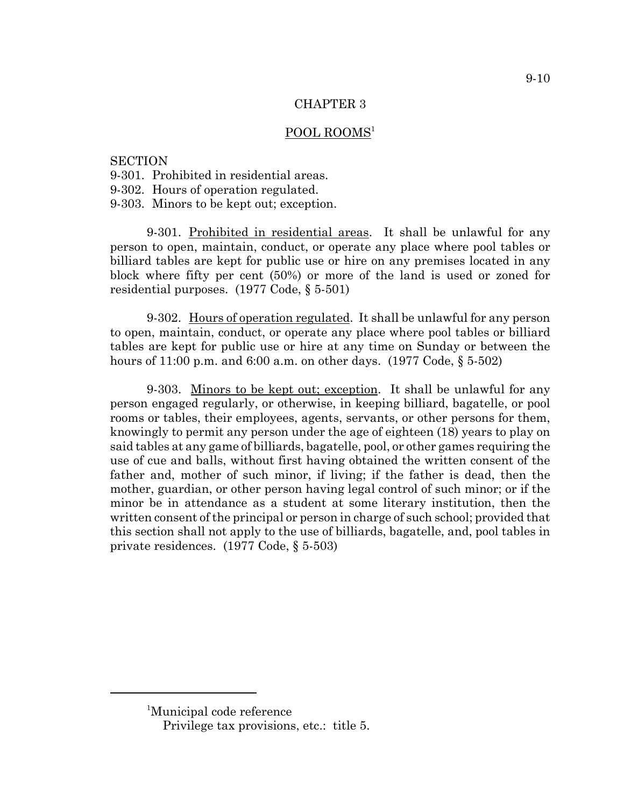### POOL ROOMS<sup>1</sup>

#### **SECTION**

- 9-301. Prohibited in residential areas.
- 9-302. Hours of operation regulated.
- 9-303. Minors to be kept out; exception.

9-301. Prohibited in residential areas. It shall be unlawful for any person to open, maintain, conduct, or operate any place where pool tables or billiard tables are kept for public use or hire on any premises located in any block where fifty per cent (50%) or more of the land is used or zoned for residential purposes. (1977 Code, § 5-501)

9-302. Hours of operation regulated. It shall be unlawful for any person to open, maintain, conduct, or operate any place where pool tables or billiard tables are kept for public use or hire at any time on Sunday or between the hours of 11:00 p.m. and 6:00 a.m. on other days. (1977 Code, § 5-502)

9-303. Minors to be kept out; exception. It shall be unlawful for any person engaged regularly, or otherwise, in keeping billiard, bagatelle, or pool rooms or tables, their employees, agents, servants, or other persons for them, knowingly to permit any person under the age of eighteen (18) years to play on said tables at any game of billiards, bagatelle, pool, or other games requiring the use of cue and balls, without first having obtained the written consent of the father and, mother of such minor, if living; if the father is dead, then the mother, guardian, or other person having legal control of such minor; or if the minor be in attendance as a student at some literary institution, then the written consent of the principal or person in charge of such school; provided that this section shall not apply to the use of billiards, bagatelle, and, pool tables in private residences. (1977 Code, § 5-503)

<sup>1</sup> Municipal code reference

Privilege tax provisions, etc.: title 5.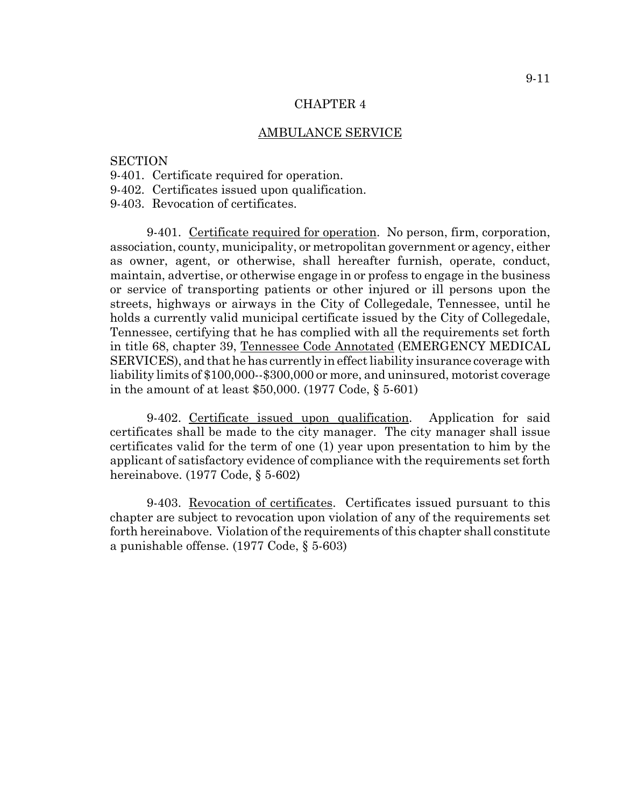#### AMBULANCE SERVICE

#### **SECTION**

- 9-401. Certificate required for operation.
- 9-402. Certificates issued upon qualification.
- 9-403. Revocation of certificates.

9-401. Certificate required for operation. No person, firm, corporation, association, county, municipality, or metropolitan government or agency, either as owner, agent, or otherwise, shall hereafter furnish, operate, conduct, maintain, advertise, or otherwise engage in or profess to engage in the business or service of transporting patients or other injured or ill persons upon the streets, highways or airways in the City of Collegedale, Tennessee, until he holds a currently valid municipal certificate issued by the City of Collegedale, Tennessee, certifying that he has complied with all the requirements set forth in title 68, chapter 39, Tennessee Code Annotated (EMERGENCY MEDICAL SERVICES), and that he has currently in effect liability insurance coverage with liability limits of \$100,000--\$300,000 or more, and uninsured, motorist coverage in the amount of at least \$50,000. (1977 Code, § 5-601)

9-402. Certificate issued upon qualification. Application for said certificates shall be made to the city manager. The city manager shall issue certificates valid for the term of one (1) year upon presentation to him by the applicant of satisfactory evidence of compliance with the requirements set forth hereinabove. (1977 Code, § 5-602)

9-403. Revocation of certificates. Certificates issued pursuant to this chapter are subject to revocation upon violation of any of the requirements set forth hereinabove. Violation of the requirements of this chapter shall constitute a punishable offense. (1977 Code, § 5-603)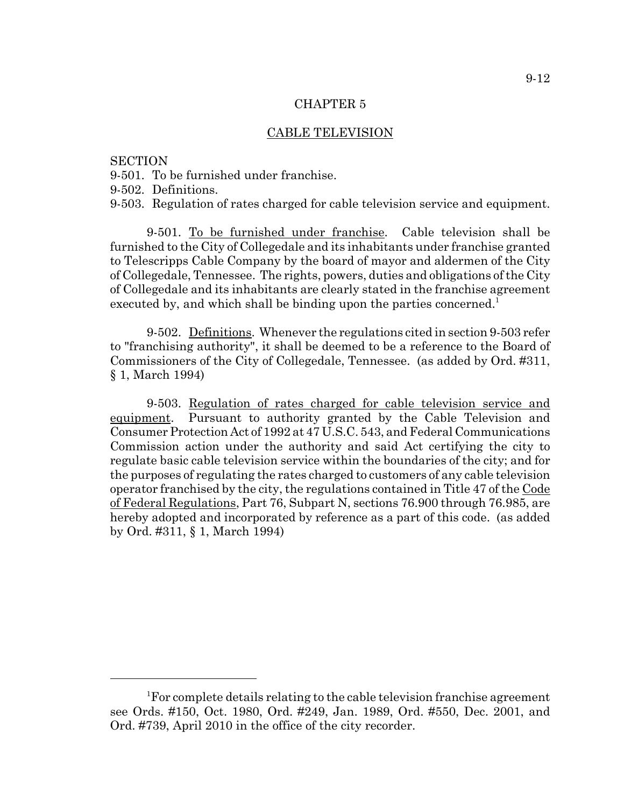#### CABLE TELEVISION

### **SECTION**

- 9-501. To be furnished under franchise.
- 9-502. Definitions.

9-503. Regulation of rates charged for cable television service and equipment.

9-501. To be furnished under franchise. Cable television shall be furnished to the City of Collegedale and its inhabitants under franchise granted to Telescripps Cable Company by the board of mayor and aldermen of the City of Collegedale, Tennessee. The rights, powers, duties and obligations of the City of Collegedale and its inhabitants are clearly stated in the franchise agreement executed by, and which shall be binding upon the parties concerned.<sup>1</sup>

9-502. Definitions. Whenever the regulations cited in section 9-503 refer to "franchising authority", it shall be deemed to be a reference to the Board of Commissioners of the City of Collegedale, Tennessee. (as added by Ord. #311, § 1, March 1994)

9-503. Regulation of rates charged for cable television service and equipment. Pursuant to authority granted by the Cable Television and Consumer Protection Act of 1992 at 47 U.S.C. 543, and Federal Communications Commission action under the authority and said Act certifying the city to regulate basic cable television service within the boundaries of the city; and for the purposes of regulating the rates charged to customers of any cable television operator franchised by the city, the regulations contained in Title 47 of the Code of Federal Regulations, Part 76, Subpart N, sections 76.900 through 76.985, are hereby adopted and incorporated by reference as a part of this code. (as added by Ord. #311, § 1, March 1994)

<sup>&</sup>lt;sup>1</sup>For complete details relating to the cable television franchise agreement see Ords. #150, Oct. 1980, Ord. #249, Jan. 1989, Ord. #550, Dec. 2001, and Ord. #739, April 2010 in the office of the city recorder.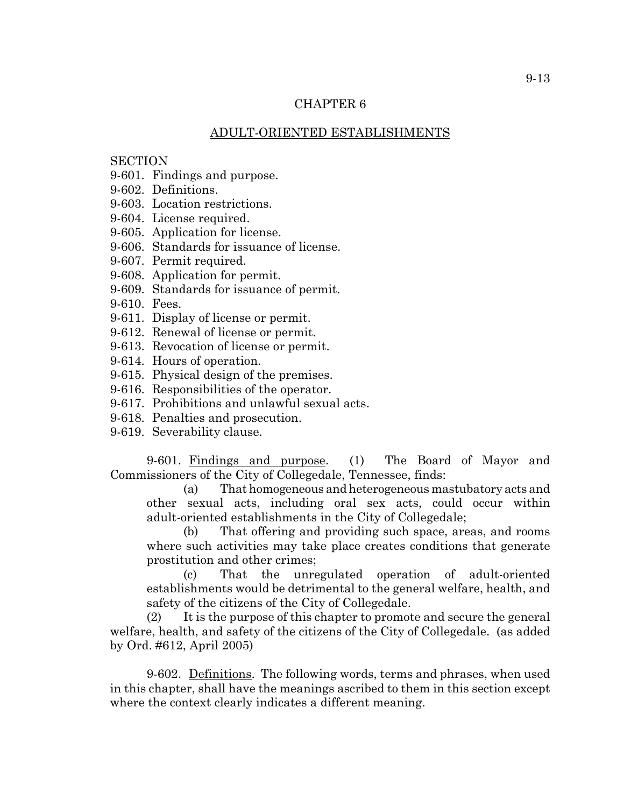### ADULT-ORIENTED ESTABLISHMENTS

### **SECTION**

- 9-601. Findings and purpose.
- 9-602. Definitions.
- 9-603. Location restrictions.
- 9-604. License required.
- 9-605. Application for license.
- 9-606. Standards for issuance of license.
- 9-607. Permit required.
- 9-608. Application for permit.
- 9-609. Standards for issuance of permit.
- 9-610. Fees.
- 9-611. Display of license or permit.
- 9-612. Renewal of license or permit.
- 9-613. Revocation of license or permit.
- 9-614. Hours of operation.
- 9-615. Physical design of the premises.
- 9-616. Responsibilities of the operator.
- 9-617. Prohibitions and unlawful sexual acts.
- 9-618. Penalties and prosecution.
- 9-619. Severability clause.

9-601. Findings and purpose. (1) The Board of Mayor and Commissioners of the City of Collegedale, Tennessee, finds:

(a) That homogeneous and heterogeneous mastubatory acts and other sexual acts, including oral sex acts, could occur within adult-oriented establishments in the City of Collegedale;

(b) That offering and providing such space, areas, and rooms where such activities may take place creates conditions that generate prostitution and other crimes;

(c) That the unregulated operation of adult-oriented establishments would be detrimental to the general welfare, health, and safety of the citizens of the City of Collegedale.

(2) It is the purpose of this chapter to promote and secure the general welfare, health, and safety of the citizens of the City of Collegedale. (as added by Ord. #612, April 2005)

9-602. Definitions. The following words, terms and phrases, when used in this chapter, shall have the meanings ascribed to them in this section except where the context clearly indicates a different meaning.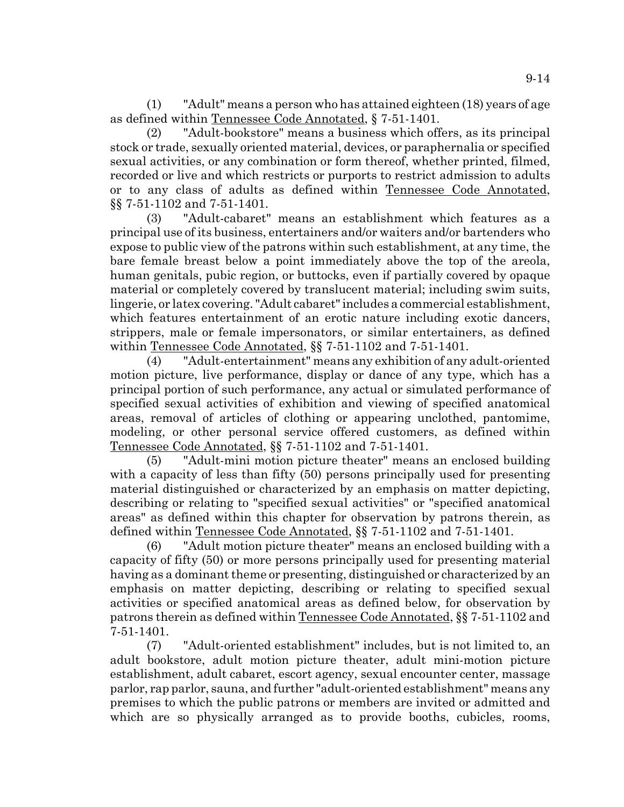(1) "Adult" means a person who has attained eighteen (18) years of age as defined within Tennessee Code Annotated, § 7-51-1401.

(2) "Adult-bookstore" means a business which offers, as its principal stock or trade, sexually oriented material, devices, or paraphernalia or specified sexual activities, or any combination or form thereof, whether printed, filmed, recorded or live and which restricts or purports to restrict admission to adults or to any class of adults as defined within Tennessee Code Annotated, §§ 7-51-1102 and 7-51-1401.

(3) "Adult-cabaret" means an establishment which features as a principal use of its business, entertainers and/or waiters and/or bartenders who expose to public view of the patrons within such establishment, at any time, the bare female breast below a point immediately above the top of the areola, human genitals, pubic region, or buttocks, even if partially covered by opaque material or completely covered by translucent material; including swim suits, lingerie, or latex covering. "Adult cabaret" includes a commercial establishment, which features entertainment of an erotic nature including exotic dancers, strippers, male or female impersonators, or similar entertainers, as defined within Tennessee Code Annotated, §§ 7-51-1102 and 7-51-1401.

(4) "Adult-entertainment" means any exhibition of any adult-oriented motion picture, live performance, display or dance of any type, which has a principal portion of such performance, any actual or simulated performance of specified sexual activities of exhibition and viewing of specified anatomical areas, removal of articles of clothing or appearing unclothed, pantomime, modeling, or other personal service offered customers, as defined within Tennessee Code Annotated, §§ 7-51-1102 and 7-51-1401.

(5) "Adult-mini motion picture theater" means an enclosed building with a capacity of less than fifty (50) persons principally used for presenting material distinguished or characterized by an emphasis on matter depicting, describing or relating to "specified sexual activities" or "specified anatomical areas" as defined within this chapter for observation by patrons therein, as defined within Tennessee Code Annotated, §§ 7-51-1102 and 7-51-1401.

(6) "Adult motion picture theater" means an enclosed building with a capacity of fifty (50) or more persons principally used for presenting material having as a dominant theme or presenting, distinguished or characterized by an emphasis on matter depicting, describing or relating to specified sexual activities or specified anatomical areas as defined below, for observation by patrons therein as defined within Tennessee Code Annotated, §§ 7-51-1102 and 7-51-1401.

(7) "Adult-oriented establishment" includes, but is not limited to, an adult bookstore, adult motion picture theater, adult mini-motion picture establishment, adult cabaret, escort agency, sexual encounter center, massage parlor, rap parlor, sauna, and further "adult-oriented establishment" means any premises to which the public patrons or members are invited or admitted and which are so physically arranged as to provide booths, cubicles, rooms,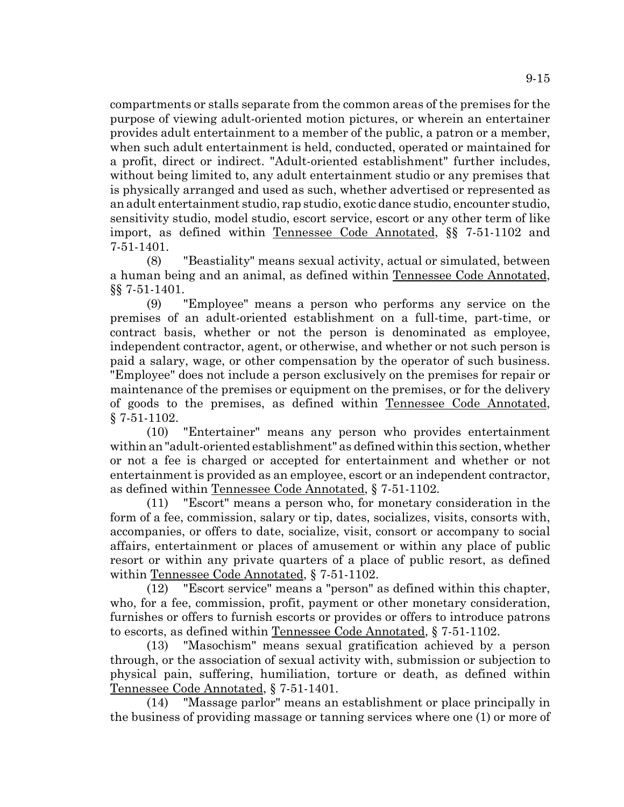compartments or stalls separate from the common areas of the premises for the purpose of viewing adult-oriented motion pictures, or wherein an entertainer provides adult entertainment to a member of the public, a patron or a member, when such adult entertainment is held, conducted, operated or maintained for a profit, direct or indirect. "Adult-oriented establishment" further includes, without being limited to, any adult entertainment studio or any premises that is physically arranged and used as such, whether advertised or represented as an adult entertainment studio, rap studio, exotic dance studio, encounter studio, sensitivity studio, model studio, escort service, escort or any other term of like import, as defined within Tennessee Code Annotated, §§ 7-51-1102 and 7-51-1401.

(8) "Beastiality" means sexual activity, actual or simulated, between a human being and an animal, as defined within Tennessee Code Annotated, §§ 7-51-1401.

(9) "Employee" means a person who performs any service on the premises of an adult-oriented establishment on a full-time, part-time, or contract basis, whether or not the person is denominated as employee, independent contractor, agent, or otherwise, and whether or not such person is paid a salary, wage, or other compensation by the operator of such business. "Employee" does not include a person exclusively on the premises for repair or maintenance of the premises or equipment on the premises, or for the delivery of goods to the premises, as defined within Tennessee Code Annotated, § 7-51-1102.

(10) "Entertainer" means any person who provides entertainment within an "adult-oriented establishment" as defined within this section, whether or not a fee is charged or accepted for entertainment and whether or not entertainment is provided as an employee, escort or an independent contractor, as defined within Tennessee Code Annotated, § 7-51-1102.

(11) "Escort" means a person who, for monetary consideration in the form of a fee, commission, salary or tip, dates, socializes, visits, consorts with, accompanies, or offers to date, socialize, visit, consort or accompany to social affairs, entertainment or places of amusement or within any place of public resort or within any private quarters of a place of public resort, as defined within Tennessee Code Annotated, § 7-51-1102.

(12) "Escort service" means a "person" as defined within this chapter, who, for a fee, commission, profit, payment or other monetary consideration, furnishes or offers to furnish escorts or provides or offers to introduce patrons to escorts, as defined within Tennessee Code Annotated, § 7-51-1102.

(13) "Masochism" means sexual gratification achieved by a person through, or the association of sexual activity with, submission or subjection to physical pain, suffering, humiliation, torture or death, as defined within Tennessee Code Annotated, § 7-51-1401.

(14) "Massage parlor" means an establishment or place principally in the business of providing massage or tanning services where one (1) or more of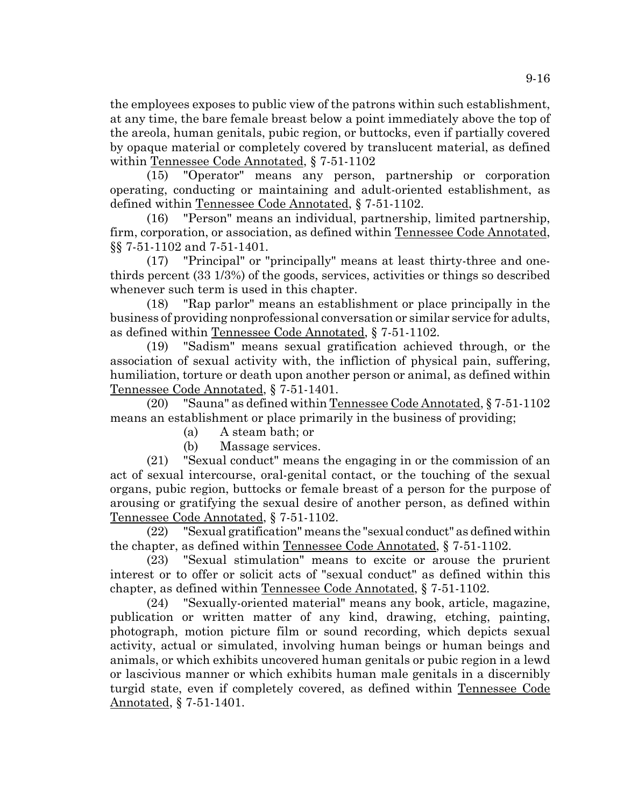the employees exposes to public view of the patrons within such establishment, at any time, the bare female breast below a point immediately above the top of the areola, human genitals, pubic region, or buttocks, even if partially covered by opaque material or completely covered by translucent material, as defined within Tennessee Code Annotated, § 7-51-1102

(15) "Operator" means any person, partnership or corporation operating, conducting or maintaining and adult-oriented establishment, as defined within Tennessee Code Annotated, § 7-51-1102.

(16) "Person" means an individual, partnership, limited partnership, firm, corporation, or association, as defined within Tennessee Code Annotated, §§ 7-51-1102 and 7-51-1401.

(17) "Principal" or "principally" means at least thirty-three and onethirds percent (33 1/3%) of the goods, services, activities or things so described whenever such term is used in this chapter.

(18) "Rap parlor" means an establishment or place principally in the business of providing nonprofessional conversation or similar service for adults, as defined within Tennessee Code Annotated, § 7-51-1102.

(19) "Sadism" means sexual gratification achieved through, or the association of sexual activity with, the infliction of physical pain, suffering, humiliation, torture or death upon another person or animal, as defined within Tennessee Code Annotated, § 7-51-1401.

(20) "Sauna" as defined within Tennessee Code Annotated, § 7-51-1102 means an establishment or place primarily in the business of providing;

(a) A steam bath; or

(b) Massage services.

(21) "Sexual conduct" means the engaging in or the commission of an act of sexual intercourse, oral-genital contact, or the touching of the sexual organs, pubic region, buttocks or female breast of a person for the purpose of arousing or gratifying the sexual desire of another person, as defined within Tennessee Code Annotated, § 7-51-1102.

(22) "Sexual gratification" means the "sexual conduct" as defined within the chapter, as defined within Tennessee Code Annotated, § 7-51-1102.

(23) "Sexual stimulation" means to excite or arouse the prurient interest or to offer or solicit acts of "sexual conduct" as defined within this chapter, as defined within Tennessee Code Annotated, § 7-51-1102.

(24) "Sexually-oriented material" means any book, article, magazine, publication or written matter of any kind, drawing, etching, painting, photograph, motion picture film or sound recording, which depicts sexual activity, actual or simulated, involving human beings or human beings and animals, or which exhibits uncovered human genitals or pubic region in a lewd or lascivious manner or which exhibits human male genitals in a discernibly turgid state, even if completely covered, as defined within Tennessee Code Annotated, § 7-51-1401.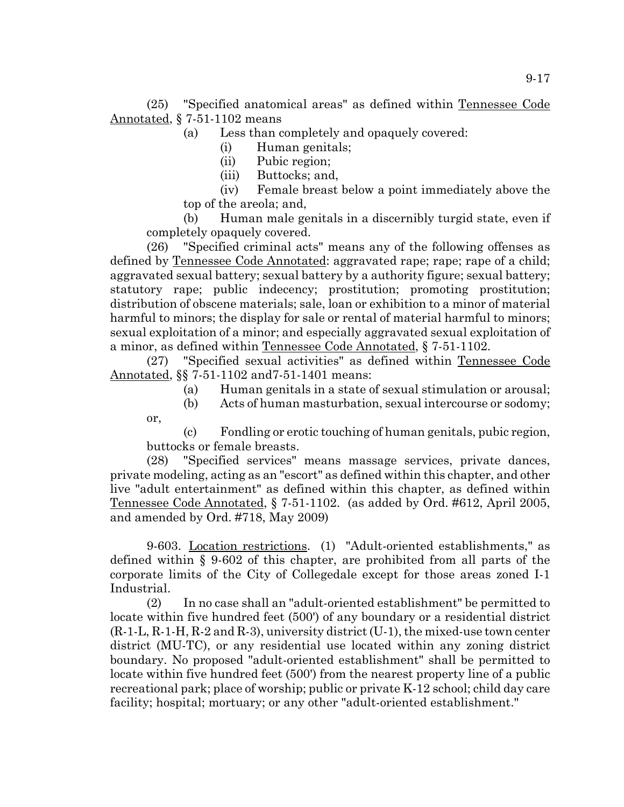(25) "Specified anatomical areas" as defined within Tennessee Code Annotated, § 7-51-1102 means

(a) Less than completely and opaquely covered:

- (i) Human genitals;
- (ii) Pubic region;
- (iii) Buttocks; and,

or,

(iv) Female breast below a point immediately above the top of the areola; and,

(b) Human male genitals in a discernibly turgid state, even if completely opaquely covered.

(26) "Specified criminal acts" means any of the following offenses as defined by Tennessee Code Annotated: aggravated rape; rape; rape of a child; aggravated sexual battery; sexual battery by a authority figure; sexual battery; statutory rape; public indecency; prostitution; promoting prostitution; distribution of obscene materials; sale, loan or exhibition to a minor of material harmful to minors; the display for sale or rental of material harmful to minors; sexual exploitation of a minor; and especially aggravated sexual exploitation of a minor, as defined within Tennessee Code Annotated, § 7-51-1102.

(27) "Specified sexual activities" as defined within Tennessee Code Annotated, §§ 7-51-1102 and7-51-1401 means:

- (a) Human genitals in a state of sexual stimulation or arousal;
- (b) Acts of human masturbation, sexual intercourse or sodomy;

(c) Fondling or erotic touching of human genitals, pubic region, buttocks or female breasts.

(28) "Specified services" means massage services, private dances, private modeling, acting as an "escort" as defined within this chapter, and other live "adult entertainment" as defined within this chapter, as defined within Tennessee Code Annotated, § 7-51-1102. (as added by Ord. #612, April 2005, and amended by Ord. #718, May 2009)

9-603. Location restrictions. (1) "Adult-oriented establishments," as defined within § 9-602 of this chapter, are prohibited from all parts of the corporate limits of the City of Collegedale except for those areas zoned I-1 Industrial.

(2) In no case shall an "adult-oriented establishment" be permitted to locate within five hundred feet (500') of any boundary or a residential district  $(R-1-L, R-1-H, R-2$  and  $R-3$ , university district  $(U-1)$ , the mixed-use town center district (MU-TC), or any residential use located within any zoning district boundary. No proposed "adult-oriented establishment" shall be permitted to locate within five hundred feet (500') from the nearest property line of a public recreational park; place of worship; public or private K-12 school; child day care facility; hospital; mortuary; or any other "adult-oriented establishment."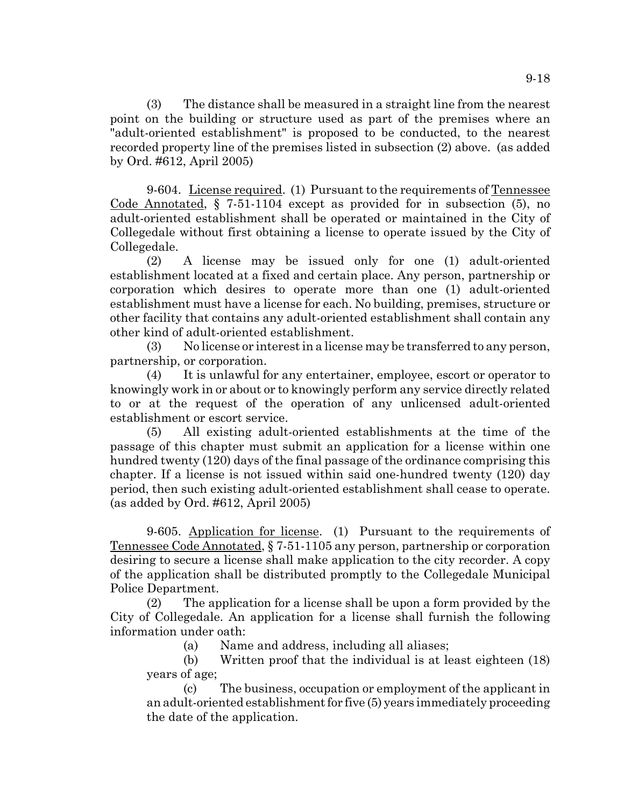(3) The distance shall be measured in a straight line from the nearest point on the building or structure used as part of the premises where an "adult-oriented establishment" is proposed to be conducted, to the nearest recorded property line of the premises listed in subsection (2) above. (as added by Ord. #612, April 2005)

9-604. License required. (1) Pursuant to the requirements of Tennessee Code Annotated, § 7-51-1104 except as provided for in subsection (5), no adult-oriented establishment shall be operated or maintained in the City of Collegedale without first obtaining a license to operate issued by the City of Collegedale.

(2) A license may be issued only for one (1) adult-oriented establishment located at a fixed and certain place. Any person, partnership or corporation which desires to operate more than one (1) adult-oriented establishment must have a license for each. No building, premises, structure or other facility that contains any adult-oriented establishment shall contain any other kind of adult-oriented establishment.

(3) No license or interest in a license may be transferred to any person, partnership, or corporation.

(4) It is unlawful for any entertainer, employee, escort or operator to knowingly work in or about or to knowingly perform any service directly related to or at the request of the operation of any unlicensed adult-oriented establishment or escort service.

(5) All existing adult-oriented establishments at the time of the passage of this chapter must submit an application for a license within one hundred twenty (120) days of the final passage of the ordinance comprising this chapter. If a license is not issued within said one-hundred twenty (120) day period, then such existing adult-oriented establishment shall cease to operate. (as added by Ord. #612, April 2005)

9-605. Application for license. (1) Pursuant to the requirements of Tennessee Code Annotated, § 7-51-1105 any person, partnership or corporation desiring to secure a license shall make application to the city recorder. A copy of the application shall be distributed promptly to the Collegedale Municipal Police Department.

(2) The application for a license shall be upon a form provided by the City of Collegedale. An application for a license shall furnish the following information under oath:

(a) Name and address, including all aliases;

(b) Written proof that the individual is at least eighteen (18) years of age;

(c) The business, occupation or employment of the applicant in an adult-oriented establishment for five (5) years immediately proceeding the date of the application.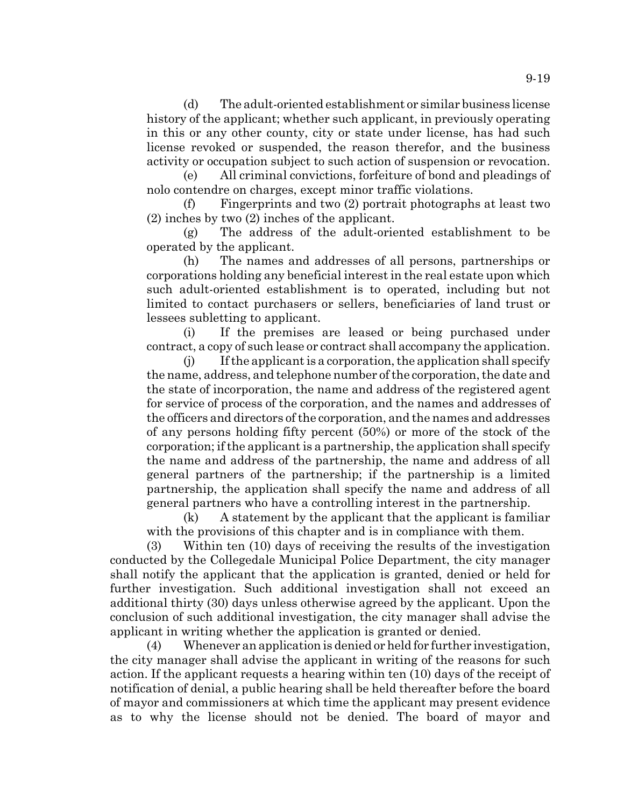(d) The adult-oriented establishment or similar business license history of the applicant; whether such applicant, in previously operating in this or any other county, city or state under license, has had such license revoked or suspended, the reason therefor, and the business activity or occupation subject to such action of suspension or revocation.

(e) All criminal convictions, forfeiture of bond and pleadings of nolo contendre on charges, except minor traffic violations.

(f) Fingerprints and two (2) portrait photographs at least two (2) inches by two (2) inches of the applicant.

(g) The address of the adult-oriented establishment to be operated by the applicant.

(h) The names and addresses of all persons, partnerships or corporations holding any beneficial interest in the real estate upon which such adult-oriented establishment is to operated, including but not limited to contact purchasers or sellers, beneficiaries of land trust or lessees subletting to applicant.

(i) If the premises are leased or being purchased under contract, a copy of such lease or contract shall accompany the application.

(j) If the applicant is a corporation, the application shall specify the name, address, and telephone number of the corporation, the date and the state of incorporation, the name and address of the registered agent for service of process of the corporation, and the names and addresses of the officers and directors of the corporation, and the names and addresses of any persons holding fifty percent (50%) or more of the stock of the corporation; if the applicant is a partnership, the application shall specify the name and address of the partnership, the name and address of all general partners of the partnership; if the partnership is a limited partnership, the application shall specify the name and address of all general partners who have a controlling interest in the partnership.

(k) A statement by the applicant that the applicant is familiar with the provisions of this chapter and is in compliance with them.

(3) Within ten (10) days of receiving the results of the investigation conducted by the Collegedale Municipal Police Department, the city manager shall notify the applicant that the application is granted, denied or held for further investigation. Such additional investigation shall not exceed an additional thirty (30) days unless otherwise agreed by the applicant. Upon the conclusion of such additional investigation, the city manager shall advise the applicant in writing whether the application is granted or denied.

(4) Whenever an application is denied or held for further investigation, the city manager shall advise the applicant in writing of the reasons for such action. If the applicant requests a hearing within ten (10) days of the receipt of notification of denial, a public hearing shall be held thereafter before the board of mayor and commissioners at which time the applicant may present evidence as to why the license should not be denied. The board of mayor and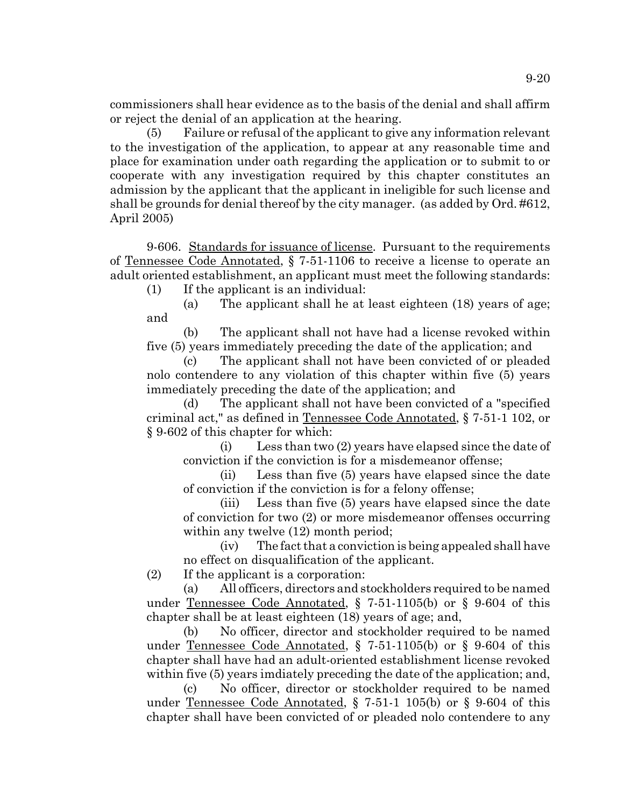commissioners shall hear evidence as to the basis of the denial and shall affirm or reject the denial of an application at the hearing.

(5) Failure or refusal of the applicant to give any information relevant to the investigation of the application, to appear at any reasonable time and place for examination under oath regarding the application or to submit to or cooperate with any investigation required by this chapter constitutes an admission by the applicant that the applicant in ineligible for such license and shall be grounds for denial thereof by the city manager. (as added by Ord. #612, April 2005)

9-606. Standards for issuance of license. Pursuant to the requirements of Tennessee Code Annotated, § 7-51-1106 to receive a license to operate an adult oriented establishment, an appIicant must meet the following standards:

(1) If the applicant is an individual:

(a) The applicant shall he at least eighteen (18) years of age; and

(b) The applicant shall not have had a license revoked within five (5) years immediately preceding the date of the application; and

(c) The applicant shall not have been convicted of or pleaded nolo contendere to any violation of this chapter within five (5) years immediately preceding the date of the application; and

(d) The applicant shall not have been convicted of a "specified criminal act," as defined in Tennessee Code Annotated, § 7-51-1 102, or § 9-602 of this chapter for which:

(i) Less than two (2) years have elapsed since the date of conviction if the conviction is for a misdemeanor offense;

(ii) Less than five (5) years have elapsed since the date of conviction if the conviction is for a felony offense;

(iii) Less than five (5) years have elapsed since the date of conviction for two (2) or more misdemeanor offenses occurring within any twelve  $(12)$  month period;

(iv) The fact that a conviction is being appealed shall have no effect on disqualification of the applicant.

(2) If the applicant is a corporation:

(a) All officers, directors and stockholders required to be named under Tennessee Code Annotated, § 7-51-1105(b) or § 9-604 of this chapter shall be at least eighteen (18) years of age; and,

(b) No officer, director and stockholder required to be named under Tennessee Code Annotated, § 7-51-1105(b) or § 9-604 of this chapter shall have had an adult-oriented establishment license revoked within five (5) years imdiately preceding the date of the application; and,

(c) No officer, director or stockholder required to be named under Tennessee Code Annotated,  $\S$  7-51-1 105(b) or  $\S$  9-604 of this chapter shall have been convicted of or pleaded nolo contendere to any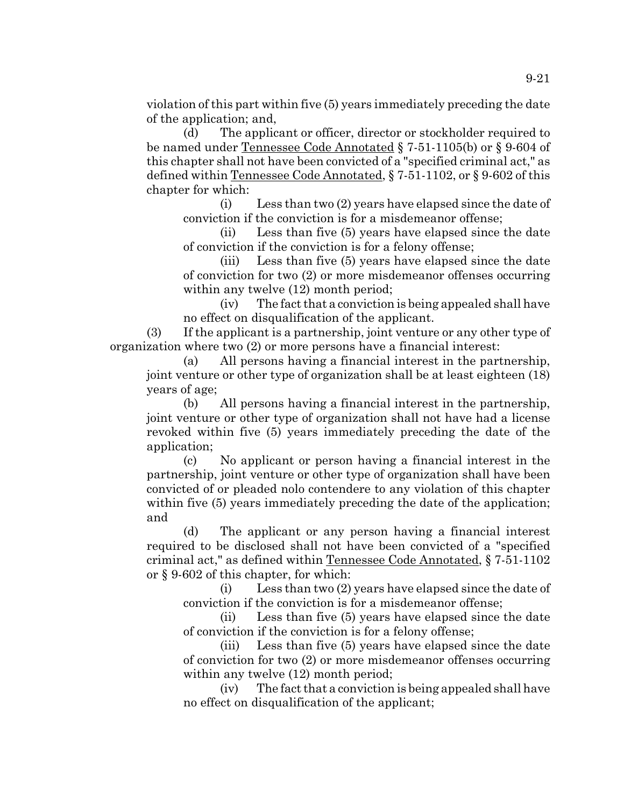violation of this part within five (5) years immediately preceding the date of the application; and,

(d) The applicant or officer, director or stockholder required to be named under Tennessee Code Annotated § 7-51-1105(b) or § 9-604 of this chapter shall not have been convicted of a "specified criminal act," as defined within Tennessee Code Annotated, § 7-51-1102, or § 9-602 of this chapter for which:

(i) Less than two (2) years have elapsed since the date of conviction if the conviction is for a misdemeanor offense;

(ii) Less than five (5) years have elapsed since the date of conviction if the conviction is for a felony offense;

(iii) Less than five (5) years have elapsed since the date of conviction for two (2) or more misdemeanor offenses occurring within any twelve  $(12)$  month period;

(iv) The fact that a conviction is being appealed shall have no effect on disqualification of the applicant.

(3) If the applicant is a partnership, joint venture or any other type of organization where two (2) or more persons have a financial interest:

(a) All persons having a financial interest in the partnership, joint venture or other type of organization shall be at least eighteen (18) years of age;

(b) All persons having a financial interest in the partnership, joint venture or other type of organization shall not have had a license revoked within five (5) years immediately preceding the date of the application;

(c) No applicant or person having a financial interest in the partnership, joint venture or other type of organization shall have been convicted of or pleaded nolo contendere to any violation of this chapter within five (5) years immediately preceding the date of the application; and

(d) The applicant or any person having a financial interest required to be disclosed shall not have been convicted of a "specified criminal act," as defined within Tennessee Code Annotated, § 7-51-1102 or § 9-602 of this chapter, for which:

(i) Less than two (2) years have elapsed since the date of conviction if the conviction is for a misdemeanor offense;

(ii) Less than five (5) years have elapsed since the date of conviction if the conviction is for a felony offense;

(iii) Less than five (5) years have elapsed since the date of conviction for two (2) or more misdemeanor offenses occurring within any twelve  $(12)$  month period;

(iv) The fact that a conviction is being appealed shall have no effect on disqualification of the applicant;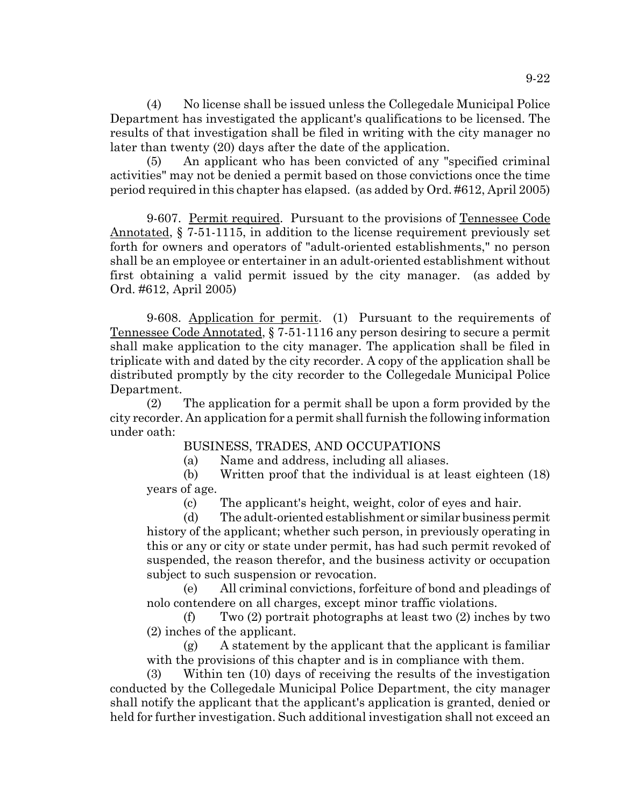(4) No license shall be issued unless the Collegedale Municipal Police Department has investigated the applicant's qualifications to be licensed. The results of that investigation shall be filed in writing with the city manager no later than twenty (20) days after the date of the application.

(5) An applicant who has been convicted of any "specified criminal activities" may not be denied a permit based on those convictions once the time period required in this chapter has elapsed. (as added by Ord. #612, April 2005)

9-607. Permit required. Pursuant to the provisions of Tennessee Code Annotated, § 7-51-1115, in addition to the license requirement previously set forth for owners and operators of "adult-oriented establishments," no person shall be an employee or entertainer in an adult-oriented establishment without first obtaining a valid permit issued by the city manager. (as added by Ord. #612, April 2005)

9-608. Application for permit. (1) Pursuant to the requirements of Tennessee Code Annotated, § 7-51-1116 any person desiring to secure a permit shall make application to the city manager. The application shall be filed in triplicate with and dated by the city recorder. A copy of the application shall be distributed promptly by the city recorder to the Collegedale Municipal Police Department.

(2) The application for a permit shall be upon a form provided by the city recorder. An application for a permit shall furnish the following information under oath:

# BUSINESS, TRADES, AND OCCUPATIONS

(a) Name and address, including all aliases.

(b) Written proof that the individual is at least eighteen (18) years of age.

(c) The applicant's height, weight, color of eyes and hair.

(d) The adult-oriented establishment or similar business permit history of the applicant; whether such person, in previously operating in this or any or city or state under permit, has had such permit revoked of suspended, the reason therefor, and the business activity or occupation subject to such suspension or revocation.

(e) All criminal convictions, forfeiture of bond and pleadings of nolo contendere on all charges, except minor traffic violations.

(f) Two (2) portrait photographs at least two (2) inches by two (2) inches of the applicant.

(g) A statement by the applicant that the applicant is familiar with the provisions of this chapter and is in compliance with them.

(3) Within ten (10) days of receiving the results of the investigation conducted by the Collegedale Municipal Police Department, the city manager shall notify the applicant that the applicant's application is granted, denied or held for further investigation. Such additional investigation shall not exceed an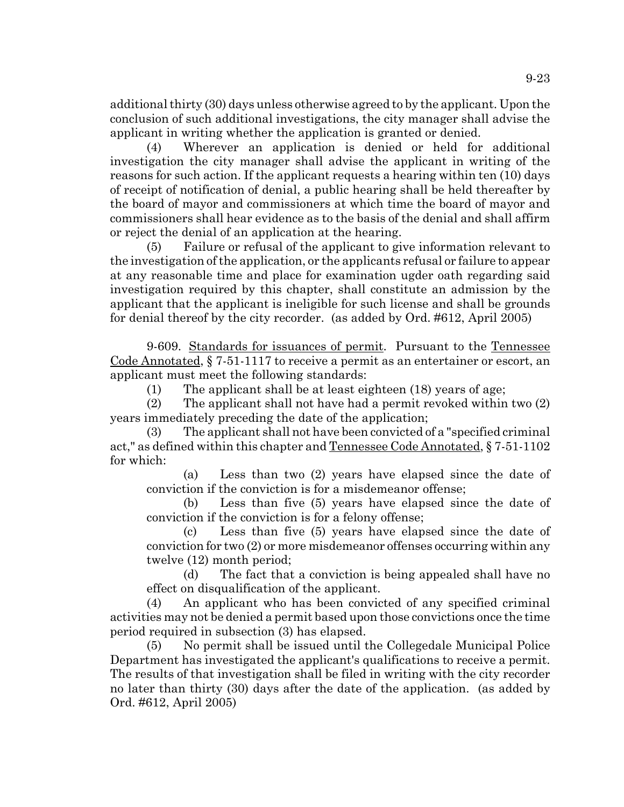additional thirty (30) days unless otherwise agreed to by the applicant. Upon the conclusion of such additional investigations, the city manager shall advise the applicant in writing whether the application is granted or denied.

Wherever an application is denied or held for additional investigation the city manager shall advise the applicant in writing of the reasons for such action. If the applicant requests a hearing within ten (10) days of receipt of notification of denial, a public hearing shall be held thereafter by the board of mayor and commissioners at which time the board of mayor and commissioners shall hear evidence as to the basis of the denial and shall affirm or reject the denial of an application at the hearing.

(5) Failure or refusal of the applicant to give information relevant to the investigation of the application, or the applicants refusal or failure to appear at any reasonable time and place for examination ugder oath regarding said investigation required by this chapter, shall constitute an admission by the applicant that the applicant is ineligible for such license and shall be grounds for denial thereof by the city recorder. (as added by Ord. #612, April 2005)

9-609. Standards for issuances of permit. Pursuant to the Tennessee Code Annotated, § 7-51-1117 to receive a permit as an entertainer or escort, an applicant must meet the following standards:

(1) The applicant shall be at least eighteen (18) years of age;

(2) The applicant shall not have had a permit revoked within two (2) years immediately preceding the date of the application;

(3) The applicant shall not have been convicted of a "specified criminal act," as defined within this chapter and Tennessee Code Annotated, § 7-51-1102 for which:

(a) Less than two (2) years have elapsed since the date of conviction if the conviction is for a misdemeanor offense;

(b) Less than five (5) years have elapsed since the date of conviction if the conviction is for a felony offense;

(c) Less than five (5) years have elapsed since the date of conviction for two (2) or more misdemeanor offenses occurring within any twelve (12) month period;

(d) The fact that a conviction is being appealed shall have no effect on disqualification of the applicant.

(4) An applicant who has been convicted of any specified criminal activities may not be denied a permit based upon those convictions once the time period required in subsection (3) has elapsed.

(5) No permit shall be issued until the Collegedale Municipal Police Department has investigated the applicant's qualifications to receive a permit. The results of that investigation shall be filed in writing with the city recorder no later than thirty (30) days after the date of the application. (as added by Ord. #612, April 2005)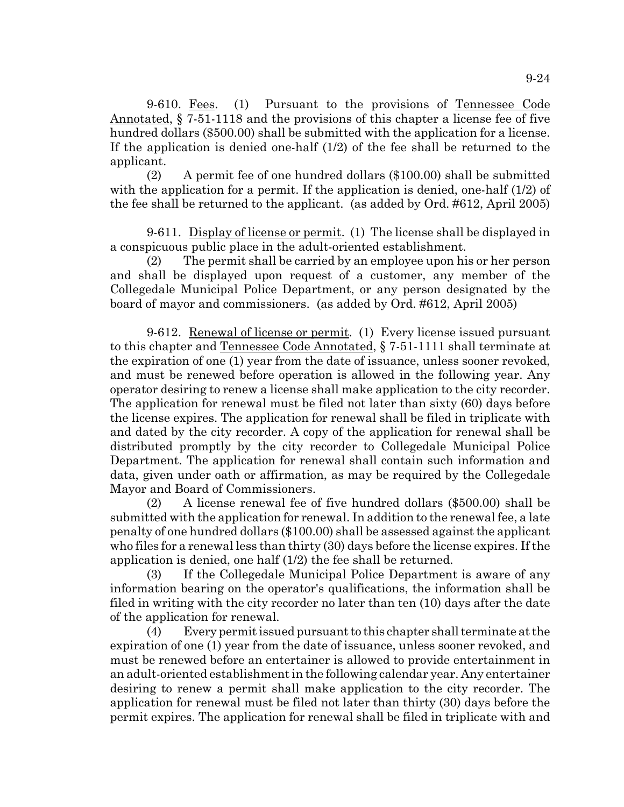9-610. Fees. (1) Pursuant to the provisions of Tennessee Code Annotated, § 7-51-1118 and the provisions of this chapter a license fee of five hundred dollars (\$500.00) shall be submitted with the application for a license. If the application is denied one-half (1/2) of the fee shall be returned to the applicant.

(2) A permit fee of one hundred dollars (\$100.00) shall be submitted with the application for a permit. If the application is denied, one-half (1/2) of the fee shall be returned to the applicant. (as added by Ord. #612, April 2005)

9-611. Display of license or permit. (1) The license shall be displayed in a conspicuous public place in the adult-oriented establishment.

(2) The permit shall be carried by an employee upon his or her person and shall be displayed upon request of a customer, any member of the Collegedale Municipal Police Department, or any person designated by the board of mayor and commissioners. (as added by Ord. #612, April 2005)

9-612. Renewal of license or permit. (1) Every license issued pursuant to this chapter and Tennessee Code Annotated, § 7-51-1111 shall terminate at the expiration of one (1) year from the date of issuance, unless sooner revoked, and must be renewed before operation is allowed in the following year. Any operator desiring to renew a license shall make application to the city recorder. The application for renewal must be filed not later than sixty (60) days before the license expires. The application for renewal shall be filed in triplicate with and dated by the city recorder. A copy of the application for renewal shall be distributed promptly by the city recorder to Collegedale Municipal Police Department. The application for renewal shall contain such information and data, given under oath or affirmation, as may be required by the Collegedale Mayor and Board of Commissioners.

(2) A license renewal fee of five hundred dollars (\$500.00) shall be submitted with the application for renewal. In addition to the renewal fee, a late penalty of one hundred dollars (\$100.00) shall be assessed against the applicant who files for a renewal less than thirty (30) days before the license expires. If the application is denied, one half (1/2) the fee shall be returned.

(3) If the Collegedale Municipal Police Department is aware of any information bearing on the operator's qualifications, the information shall be filed in writing with the city recorder no later than ten (10) days after the date of the application for renewal.

(4) Every permit issued pursuant to this chapter shall terminate at the expiration of one (1) year from the date of issuance, unless sooner revoked, and must be renewed before an entertainer is allowed to provide entertainment in an adult-oriented establishment in the following calendar year. Any entertainer desiring to renew a permit shall make application to the city recorder. The application for renewal must be filed not later than thirty (30) days before the permit expires. The application for renewal shall be filed in triplicate with and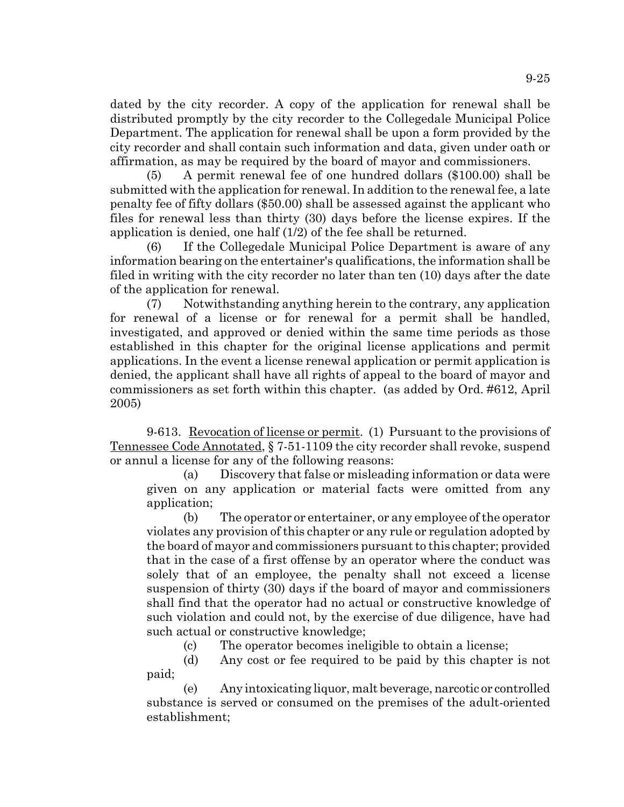dated by the city recorder. A copy of the application for renewal shall be distributed promptly by the city recorder to the Collegedale Municipal Police Department. The application for renewal shall be upon a form provided by the city recorder and shall contain such information and data, given under oath or affirmation, as may be required by the board of mayor and commissioners.

(5) A permit renewal fee of one hundred dollars (\$100.00) shall be submitted with the application for renewal. In addition to the renewal fee, a late penalty fee of fifty dollars (\$50.00) shall be assessed against the applicant who files for renewal less than thirty (30) days before the license expires. If the application is denied, one half (1/2) of the fee shall be returned.

(6) If the Collegedale Municipal Police Department is aware of any information bearing on the entertainer's qualifications, the information shall be filed in writing with the city recorder no later than ten (10) days after the date of the application for renewal.

(7) Notwithstanding anything herein to the contrary, any application for renewal of a license or for renewal for a permit shall be handled, investigated, and approved or denied within the same time periods as those established in this chapter for the original license applications and permit applications. In the event a license renewal application or permit application is denied, the applicant shall have all rights of appeal to the board of mayor and commissioners as set forth within this chapter. (as added by Ord. #612, April 2005)

9-613. Revocation of license or permit. (1) Pursuant to the provisions of Tennessee Code Annotated, § 7-51-1109 the city recorder shall revoke, suspend or annul a license for any of the following reasons:

(a) Discovery that false or misleading information or data were given on any application or material facts were omitted from any application;

(b) The operator or entertainer, or any employee of the operator violates any provision of this chapter or any rule or regulation adopted by the board of mayor and commissioners pursuant to this chapter; provided that in the case of a first offense by an operator where the conduct was solely that of an employee, the penalty shall not exceed a license suspension of thirty (30) days if the board of mayor and commissioners shall find that the operator had no actual or constructive knowledge of such violation and could not, by the exercise of due diligence, have had such actual or constructive knowledge;

(c) The operator becomes ineligible to obtain a license;

(d) Any cost or fee required to be paid by this chapter is not paid;

(e) Any intoxicating liquor, malt beverage, narcotic or controlled substance is served or consumed on the premises of the adult-oriented establishment;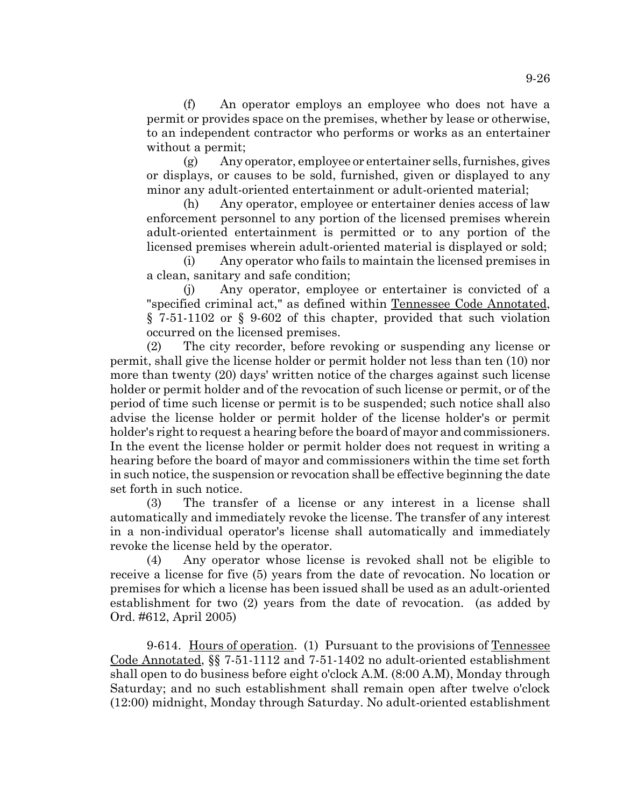(f) An operator employs an employee who does not have a permit or provides space on the premises, whether by lease or otherwise, to an independent contractor who performs or works as an entertainer without a permit;

(g) Any operator, employee or entertainer sells, furnishes, gives or displays, or causes to be sold, furnished, given or displayed to any minor any adult-oriented entertainment or adult-oriented material;

(h) Any operator, employee or entertainer denies access of law enforcement personnel to any portion of the licensed premises wherein adult-oriented entertainment is permitted or to any portion of the licensed premises wherein adult-oriented material is displayed or sold;

(i) Any operator who fails to maintain the licensed premises in a clean, sanitary and safe condition;

(j) Any operator, employee or entertainer is convicted of a "specified criminal act," as defined within Tennessee Code Annotated, § 7-51-1102 or § 9-602 of this chapter, provided that such violation occurred on the licensed premises.

(2) The city recorder, before revoking or suspending any license or permit, shall give the license holder or permit holder not less than ten (10) nor more than twenty (20) days' written notice of the charges against such license holder or permit holder and of the revocation of such license or permit, or of the period of time such license or permit is to be suspended; such notice shall also advise the license holder or permit holder of the license holder's or permit holder's right to request a hearing before the board of mayor and commissioners. In the event the license holder or permit holder does not request in writing a hearing before the board of mayor and commissioners within the time set forth in such notice, the suspension or revocation shall be effective beginning the date set forth in such notice.

(3) The transfer of a license or any interest in a license shall automatically and immediately revoke the license. The transfer of any interest in a non-individual operator's license shall automatically and immediately revoke the license held by the operator.

(4) Any operator whose license is revoked shall not be eligible to receive a license for five (5) years from the date of revocation. No location or premises for which a license has been issued shall be used as an adult-oriented establishment for two (2) years from the date of revocation. (as added by Ord. #612, April 2005)

9-614. Hours of operation. (1) Pursuant to the provisions of Tennessee Code Annotated, §§ 7-51-1112 and 7-51-1402 no adult-oriented establishment shall open to do business before eight o'clock A.M. (8:00 A.M), Monday through Saturday; and no such establishment shall remain open after twelve o'clock (12:00) midnight, Monday through Saturday. No adult-oriented establishment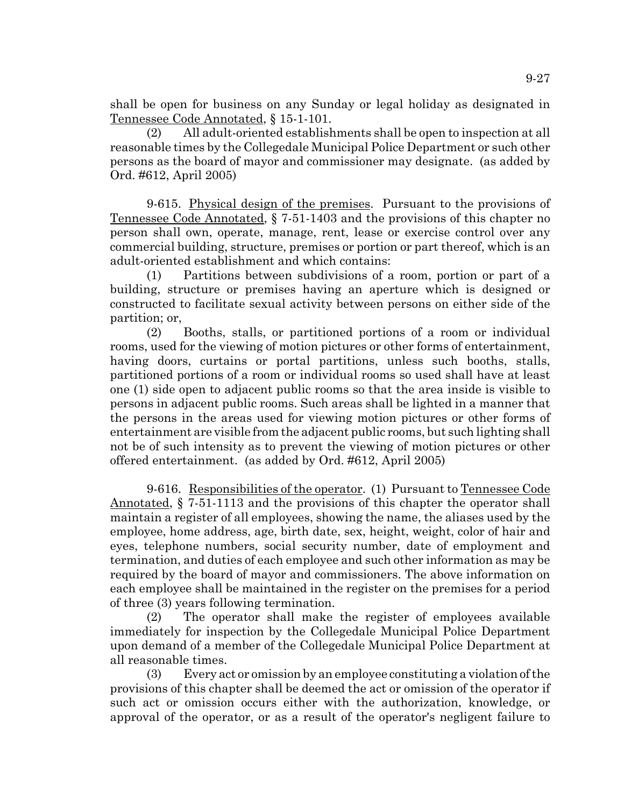shall be open for business on any Sunday or legal holiday as designated in Tennessee Code Annotated, § 15-1-101.

(2) All adult-oriented establishments shall be open to inspection at all reasonable times by the Collegedale Municipal Police Department or such other persons as the board of mayor and commissioner may designate. (as added by Ord. #612, April 2005)

9-615. Physical design of the premises. Pursuant to the provisions of Tennessee Code Annotated, § 7-51-1403 and the provisions of this chapter no person shall own, operate, manage, rent, lease or exercise control over any commercial building, structure, premises or portion or part thereof, which is an adult-oriented establishment and which contains:

(1) Partitions between subdivisions of a room, portion or part of a building, structure or premises having an aperture which is designed or constructed to facilitate sexual activity between persons on either side of the partition; or,

(2) Booths, stalls, or partitioned portions of a room or individual rooms, used for the viewing of motion pictures or other forms of entertainment, having doors, curtains or portal partitions, unless such booths, stalls, partitioned portions of a room or individual rooms so used shall have at least one (1) side open to adjacent public rooms so that the area inside is visible to persons in adjacent public rooms. Such areas shall be lighted in a manner that the persons in the areas used for viewing motion pictures or other forms of entertainment are visible from the adjacent public rooms, but such lighting shall not be of such intensity as to prevent the viewing of motion pictures or other offered entertainment. (as added by Ord. #612, April 2005)

9-616. Responsibilities of the operator. (1) Pursuant to Tennessee Code Annotated, § 7-51-1113 and the provisions of this chapter the operator shall maintain a register of all employees, showing the name, the aliases used by the employee, home address, age, birth date, sex, height, weight, color of hair and eyes, telephone numbers, social security number, date of employment and termination, and duties of each employee and such other information as may be required by the board of mayor and commissioners. The above information on each employee shall be maintained in the register on the premises for a period of three (3) years following termination.

(2) The operator shall make the register of employees available immediately for inspection by the Collegedale Municipal Police Department upon demand of a member of the Collegedale Municipal Police Department at all reasonable times.

(3) Every act or omission by an employee constituting a violation of the provisions of this chapter shall be deemed the act or omission of the operator if such act or omission occurs either with the authorization, knowledge, or approval of the operator, or as a result of the operator's negligent failure to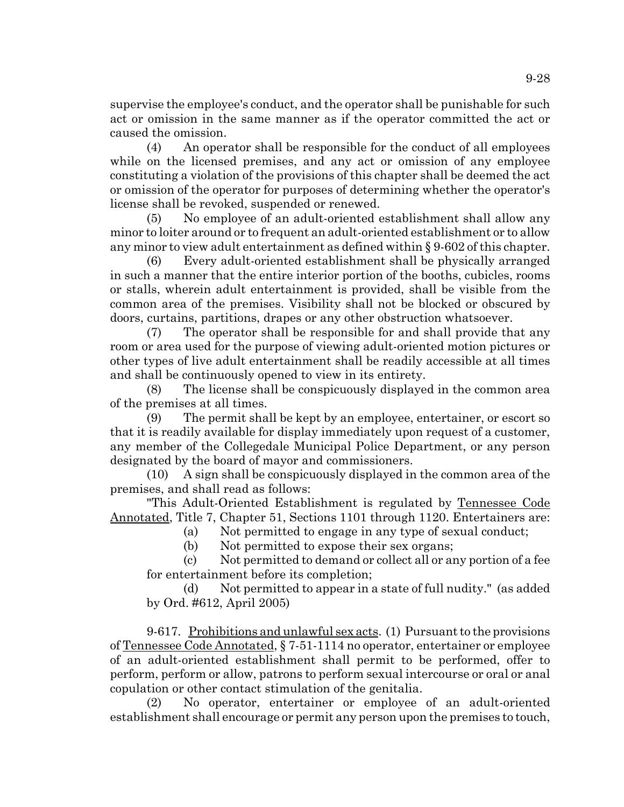supervise the employee's conduct, and the operator shall be punishable for such act or omission in the same manner as if the operator committed the act or caused the omission.

(4) An operator shall be responsible for the conduct of all employees while on the licensed premises, and any act or omission of any employee constituting a violation of the provisions of this chapter shall be deemed the act or omission of the operator for purposes of determining whether the operator's license shall be revoked, suspended or renewed.

(5) No employee of an adult-oriented establishment shall allow any minor to loiter around or to frequent an adult-oriented establishment or to allow any minor to view adult entertainment as defined within § 9-602 of this chapter.

(6) Every adult-oriented establishment shall be physically arranged in such a manner that the entire interior portion of the booths, cubicles, rooms or stalls, wherein adult entertainment is provided, shall be visible from the common area of the premises. Visibility shall not be blocked or obscured by doors, curtains, partitions, drapes or any other obstruction whatsoever.

(7) The operator shall be responsible for and shall provide that any room or area used for the purpose of viewing adult-oriented motion pictures or other types of live adult entertainment shall be readily accessible at all times and shall be continuously opened to view in its entirety.

(8) The license shall be conspicuously displayed in the common area of the premises at all times.

(9) The permit shall be kept by an employee, entertainer, or escort so that it is readily available for display immediately upon request of a customer, any member of the Collegedale Municipal Police Department, or any person designated by the board of mayor and commissioners.

(10) A sign shall be conspicuously displayed in the common area of the premises, and shall read as follows:

"This Adult-Oriented Establishment is regulated by Tennessee Code Annotated, Title 7, Chapter 51, Sections 1101 through 1120. Entertainers are:

(a) Not permitted to engage in any type of sexual conduct;

(b) Not permitted to expose their sex organs;

(c) Not permitted to demand or collect all or any portion of a fee for entertainment before its completion;

(d) Not permitted to appear in a state of full nudity." (as added by Ord. #612, April 2005)

9-617. Prohibitions and unlawful sex acts. (1) Pursuant to the provisions of Tennessee Code Annotated, § 7-51-1114 no operator, entertainer or employee of an adult-oriented establishment shall permit to be performed, offer to perform, perform or allow, patrons to perform sexual intercourse or oral or anal copulation or other contact stimulation of the genitalia.

(2) No operator, entertainer or employee of an adult-oriented establishment shall encourage or permit any person upon the premises to touch,